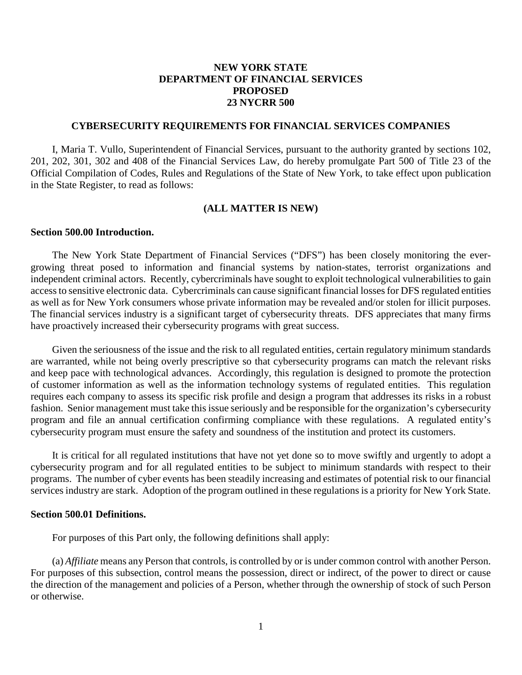# **NEW YORK STATE DEPARTMENT OF FINANCIAL SERVICES PROPOSED 23 NYCRR 500**

#### **CYBERSECURITY REQUIREMENTS FOR FINANCIAL SERVICES COMPANIES**

I, Maria T. Vullo, Superintendent of Financial Services, pursuant to the authority granted by sections 102, 201, 202, 301, 302 and 408 of the Financial Services Law, do hereby promulgate Part 500 of Title 23 of the Official Compilation of Codes, Rules and Regulations of the State of New York, to take effect upon publication in the State Register, to read as follows:

#### **(ALL MATTER IS NEW)**

#### **Section 500.00 Introduction.**

The New York State Department of Financial Services ("DFS") has been closely monitoring the evergrowing threat posed to information and financial systems by nation-states, terrorist organizations and independent criminal actors. Recently, cybercriminals have sought to exploit technological vulnerabilities to gain access to sensitive electronic data. Cybercriminals can cause significant financial losses for DFS regulated entities as well as for New York consumers whose private information may be revealed and/or stolen for illicit purposes. The financial services industry is a significant target of cybersecurity threats. DFS appreciates that many firms have proactively increased their cybersecurity programs with great success.

Given the seriousness of the issue and the risk to all regulated entities, certain regulatory minimum standards are warranted, while not being overly prescriptive so that cybersecurity programs can match the relevant risks and keep pace with technological advances. Accordingly, this regulation is designed to promote the protection of customer information as well as the information technology systems of regulated entities. This regulation requires each company to assess its specific risk profile and design a program that addresses its risks in a robust fashion. Senior management must take this issue seriously and be responsible for the organization's cybersecurity program and file an annual certification confirming compliance with these regulations. A regulated entity's cybersecurity program must ensure the safety and soundness of the institution and protect its customers.

It is critical for all regulated institutions that have not yet done so to move swiftly and urgently to adopt a cybersecurity program and for all regulated entities to be subject to minimum standards with respect to their programs. The number of cyber events has been steadily increasing and estimates of potential risk to our financial services industry are stark. Adoption of the program outlined in these regulations is a priority for New York State.

#### **Section 500.01 Definitions.**

For purposes of this Part only, the following definitions shall apply:

(a) *Affiliate* means any Person that controls, is controlled by or is under common control with another Person. For purposes of this subsection, control means the possession, direct or indirect, of the power to direct or cause the direction of the management and policies of a Person, whether through the ownership of stock of such Person or otherwise.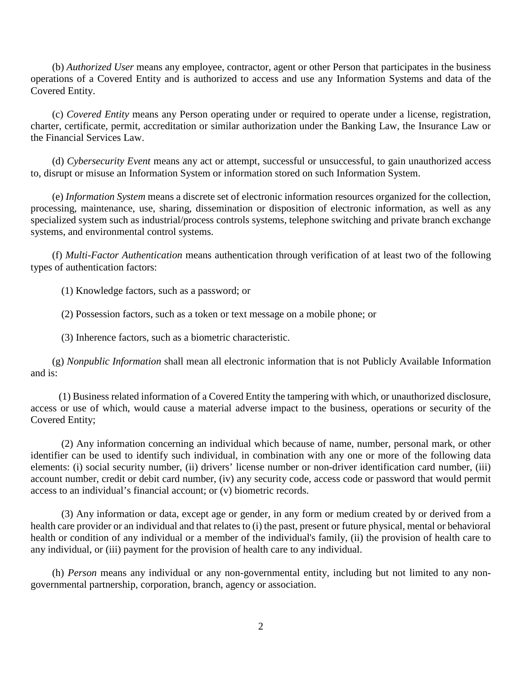(b) *Authorized User* means any employee, contractor, agent or other Person that participates in the business operations of a Covered Entity and is authorized to access and use any Information Systems and data of the Covered Entity.

(c) *Covered Entity* means any Person operating under or required to operate under a license, registration, charter, certificate, permit, accreditation or similar authorization under the Banking Law, the Insurance Law or the Financial Services Law.

(d) *Cybersecurity Event* means any act or attempt, successful or unsuccessful, to gain unauthorized access to, disrupt or misuse an Information System or information stored on such Information System.

(e) *Information System* means a discrete set of electronic information resources organized for the collection, processing, maintenance, use, sharing, dissemination or disposition of electronic information, as well as any specialized system such as industrial/process controls systems, telephone switching and private branch exchange systems, and environmental control systems.

(f) *Multi-Factor Authentication* means authentication through verification of at least two of the following types of authentication factors:

(1) Knowledge factors, such as a password; or

(2) Possession factors, such as a token or text message on a mobile phone; or

(3) Inherence factors, such as a biometric characteristic.

(g) *Nonpublic Information* shall mean all electronic information that is not Publicly Available Information and is:

(1) Business related information of a Covered Entity the tampering with which, or unauthorized disclosure, access or use of which, would cause a material adverse impact to the business, operations or security of the Covered Entity;

(2) Any information concerning an individual which because of name, number, personal mark, or other identifier can be used to identify such individual, in combination with any one or more of the following data elements: (i) social security number, (ii) drivers' license number or non-driver identification card number, (iii) account number, credit or debit card number, (iv) any security code, access code or password that would permit access to an individual's financial account; or (v) biometric records.

(3) Any information or data, except age or gender, in any form or medium created by or derived from a health care provider or an individual and that relates to (i) the past, present or future physical, mental or behavioral health or condition of any individual or a member of the individual's family, (ii) the provision of health care to any individual, or (iii) payment for the provision of health care to any individual.

(h) *Person* means any individual or any non-governmental entity, including but not limited to any nongovernmental partnership, corporation, branch, agency or association.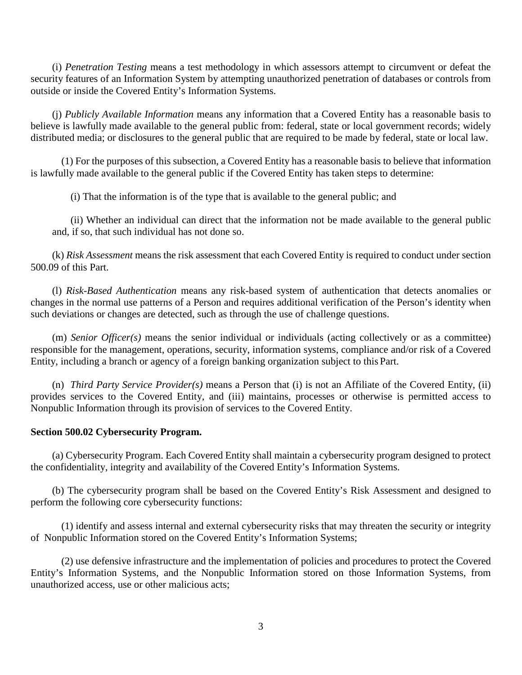(i) *Penetration Testing* means a test methodology in which assessors attempt to circumvent or defeat the security features of an Information System by attempting unauthorized penetration of databases or controls from outside or inside the Covered Entity's Information Systems.

(j) *Publicly Available Information* means any information that a Covered Entity has a reasonable basis to believe is lawfully made available to the general public from: federal, state or local government records; widely distributed media; or disclosures to the general public that are required to be made by federal, state or local law.

(1) For the purposes of this subsection, a Covered Entity has a reasonable basis to believe that information is lawfully made available to the general public if the Covered Entity has taken steps to determine:

(i) That the information is of the type that is available to the general public; and

(ii) Whether an individual can direct that the information not be made available to the general public and, if so, that such individual has not done so.

(k) *Risk Assessment* means the risk assessment that each Covered Entity is required to conduct under section 500.09 of this Part.

(l) *Risk-Based Authentication* means any risk-based system of authentication that detects anomalies or changes in the normal use patterns of a Person and requires additional verification of the Person's identity when such deviations or changes are detected, such as through the use of challenge questions.

(m) *Senior Officer(s)* means the senior individual or individuals (acting collectively or as a committee) responsible for the management, operations, security, information systems, compliance and/or risk of a Covered Entity, including a branch or agency of a foreign banking organization subject to this Part.

(n) *Third Party Service Provider(s)* means a Person that (i) is not an Affiliate of the Covered Entity, (ii) provides services to the Covered Entity, and (iii) maintains, processes or otherwise is permitted access to Nonpublic Information through its provision of services to the Covered Entity.

### **Section 500.02 Cybersecurity Program.**

(a) Cybersecurity Program. Each Covered Entity shall maintain a cybersecurity program designed to protect the confidentiality, integrity and availability of the Covered Entity's Information Systems.

(b) The cybersecurity program shall be based on the Covered Entity's Risk Assessment and designed to perform the following core cybersecurity functions:

(1) identify and assess internal and external cybersecurity risks that may threaten the security or integrity of Nonpublic Information stored on the Covered Entity's Information Systems;

(2) use defensive infrastructure and the implementation of policies and procedures to protect the Covered Entity's Information Systems, and the Nonpublic Information stored on those Information Systems, from unauthorized access, use or other malicious acts;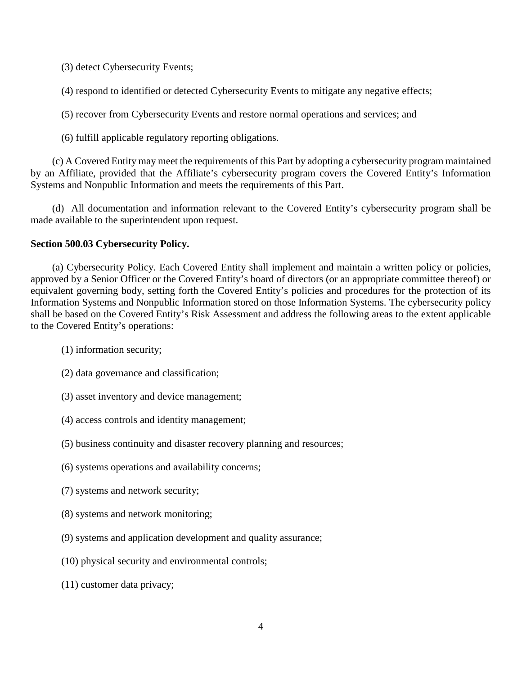(3) detect Cybersecurity Events;

(4) respond to identified or detected Cybersecurity Events to mitigate any negative effects;

(5) recover from Cybersecurity Events and restore normal operations and services; and

(6) fulfill applicable regulatory reporting obligations.

(c) A Covered Entity may meet the requirements of this Part by adopting a cybersecurity program maintained by an Affiliate, provided that the Affiliate's cybersecurity program covers the Covered Entity's Information Systems and Nonpublic Information and meets the requirements of this Part.

(d) All documentation and information relevant to the Covered Entity's cybersecurity program shall be made available to the superintendent upon request.

# **Section 500.03 Cybersecurity Policy.**

(a) Cybersecurity Policy. Each Covered Entity shall implement and maintain a written policy or policies, approved by a Senior Officer or the Covered Entity's board of directors (or an appropriate committee thereof) or equivalent governing body, setting forth the Covered Entity's policies and procedures for the protection of its Information Systems and Nonpublic Information stored on those Information Systems. The cybersecurity policy shall be based on the Covered Entity's Risk Assessment and address the following areas to the extent applicable to the Covered Entity's operations:

- (1) information security;
- (2) data governance and classification;
- (3) asset inventory and device management;
- (4) access controls and identity management;
- (5) business continuity and disaster recovery planning and resources;
- (6) systems operations and availability concerns;
- (7) systems and network security;
- (8) systems and network monitoring;
- (9) systems and application development and quality assurance;
- (10) physical security and environmental controls;
- (11) customer data privacy;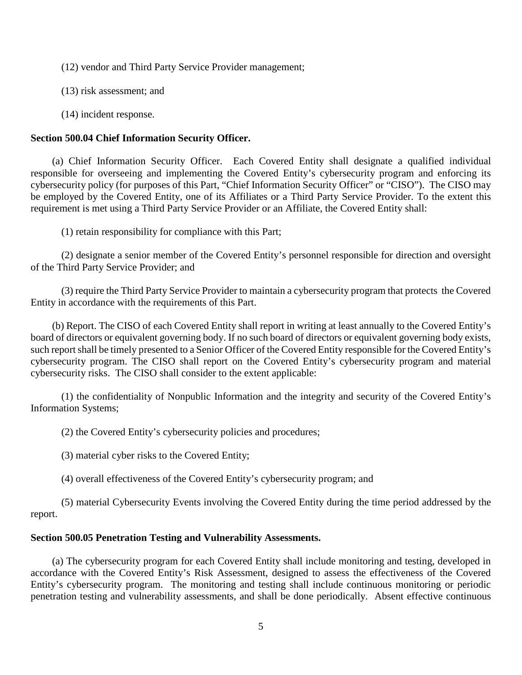(12) vendor and Third Party Service Provider management;

(13) risk assessment; and

(14) incident response.

# **Section 500.04 Chief Information Security Officer.**

(a) Chief Information Security Officer. Each Covered Entity shall designate a qualified individual responsible for overseeing and implementing the Covered Entity's cybersecurity program and enforcing its cybersecurity policy (for purposes of this Part, "Chief Information Security Officer" or "CISO"). The CISO may be employed by the Covered Entity, one of its Affiliates or a Third Party Service Provider. To the extent this requirement is met using a Third Party Service Provider or an Affiliate, the Covered Entity shall:

(1) retain responsibility for compliance with this Part;

(2) designate a senior member of the Covered Entity's personnel responsible for direction and oversight of the Third Party Service Provider; and

(3) require the Third Party Service Provider to maintain a cybersecurity program that protects the Covered Entity in accordance with the requirements of this Part.

(b) Report. The CISO of each Covered Entity shall report in writing at least annually to the Covered Entity's board of directors or equivalent governing body. If no such board of directors or equivalent governing body exists, such report shall be timely presented to a Senior Officer of the Covered Entity responsible for the Covered Entity's cybersecurity program. The CISO shall report on the Covered Entity's cybersecurity program and material cybersecurity risks. The CISO shall consider to the extent applicable:

(1) the confidentiality of Nonpublic Information and the integrity and security of the Covered Entity's Information Systems;

(2) the Covered Entity's cybersecurity policies and procedures;

(3) material cyber risks to the Covered Entity;

(4) overall effectiveness of the Covered Entity's cybersecurity program; and

(5) material Cybersecurity Events involving the Covered Entity during the time period addressed by the report.

# **Section 500.05 Penetration Testing and Vulnerability Assessments.**

(a) The cybersecurity program for each Covered Entity shall include monitoring and testing, developed in accordance with the Covered Entity's Risk Assessment, designed to assess the effectiveness of the Covered Entity's cybersecurity program. The monitoring and testing shall include continuous monitoring or periodic penetration testing and vulnerability assessments, and shall be done periodically. Absent effective continuous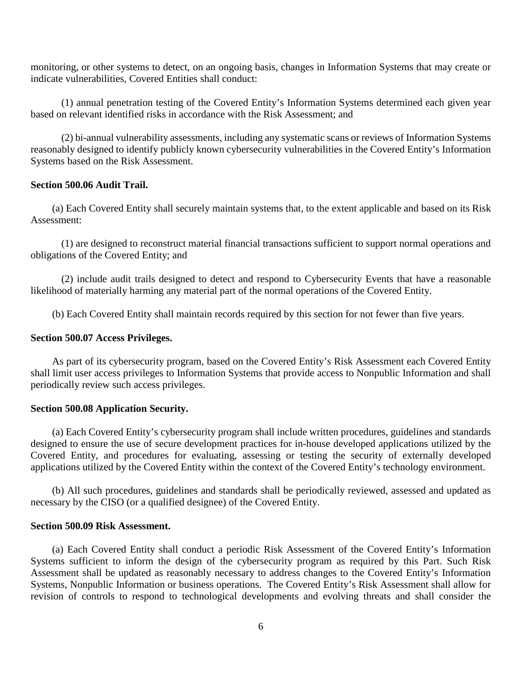monitoring, or other systems to detect, on an ongoing basis, changes in Information Systems that may create or indicate vulnerabilities, Covered Entities shall conduct:

(1) annual penetration testing of the Covered Entity's Information Systems determined each given year based on relevant identified risks in accordance with the Risk Assessment; and

(2) bi-annual vulnerability assessments, including any systematic scans or reviews of Information Systems reasonably designed to identify publicly known cybersecurity vulnerabilities in the Covered Entity's Information Systems based on the Risk Assessment.

### **Section 500.06 Audit Trail.**

(a) Each Covered Entity shall securely maintain systems that, to the extent applicable and based on its Risk Assessment:

(1) are designed to reconstruct material financial transactions sufficient to support normal operations and obligations of the Covered Entity; and

(2) include audit trails designed to detect and respond to Cybersecurity Events that have a reasonable likelihood of materially harming any material part of the normal operations of the Covered Entity.

(b) Each Covered Entity shall maintain records required by this section for not fewer than five years.

### **Section 500.07 Access Privileges.**

As part of its cybersecurity program, based on the Covered Entity's Risk Assessment each Covered Entity shall limit user access privileges to Information Systems that provide access to Nonpublic Information and shall periodically review such access privileges.

### **Section 500.08 Application Security.**

(a) Each Covered Entity's cybersecurity program shall include written procedures, guidelines and standards designed to ensure the use of secure development practices for in-house developed applications utilized by the Covered Entity, and procedures for evaluating, assessing or testing the security of externally developed applications utilized by the Covered Entity within the context of the Covered Entity's technology environment.

(b) All such procedures, guidelines and standards shall be periodically reviewed, assessed and updated as necessary by the CISO (or a qualified designee) of the Covered Entity.

### **Section 500.09 Risk Assessment.**

(a) Each Covered Entity shall conduct a periodic Risk Assessment of the Covered Entity's Information Systems sufficient to inform the design of the cybersecurity program as required by this Part. Such Risk Assessment shall be updated as reasonably necessary to address changes to the Covered Entity's Information Systems, Nonpublic Information or business operations. The Covered Entity's Risk Assessment shall allow for revision of controls to respond to technological developments and evolving threats and shall consider the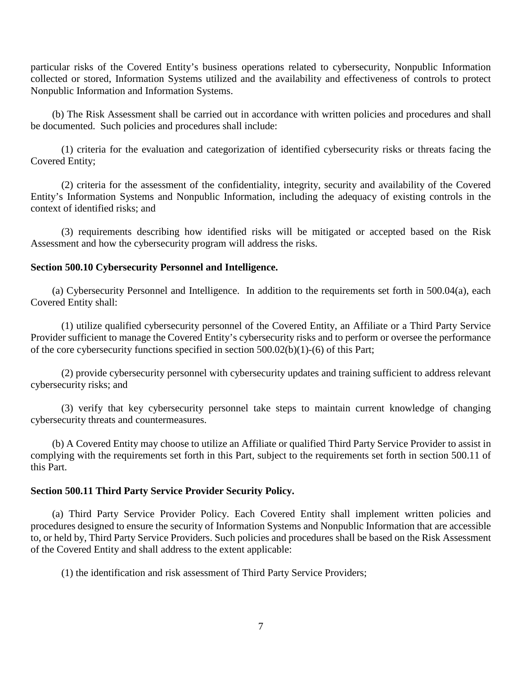particular risks of the Covered Entity's business operations related to cybersecurity, Nonpublic Information collected or stored, Information Systems utilized and the availability and effectiveness of controls to protect Nonpublic Information and Information Systems.

(b) The Risk Assessment shall be carried out in accordance with written policies and procedures and shall be documented. Such policies and procedures shall include:

(1) criteria for the evaluation and categorization of identified cybersecurity risks or threats facing the Covered Entity;

(2) criteria for the assessment of the confidentiality, integrity, security and availability of the Covered Entity's Information Systems and Nonpublic Information, including the adequacy of existing controls in the context of identified risks; and

(3) requirements describing how identified risks will be mitigated or accepted based on the Risk Assessment and how the cybersecurity program will address the risks.

# **Section 500.10 Cybersecurity Personnel and Intelligence.**

(a) Cybersecurity Personnel and Intelligence. In addition to the requirements set forth in 500.04(a), each Covered Entity shall:

(1) utilize qualified cybersecurity personnel of the Covered Entity, an Affiliate or a Third Party Service Provider sufficient to manage the Covered Entity's cybersecurity risks and to perform or oversee the performance of the core cybersecurity functions specified in section 500.02(b)(1)-(6) of this Part;

(2) provide cybersecurity personnel with cybersecurity updates and training sufficient to address relevant cybersecurity risks; and

(3) verify that key cybersecurity personnel take steps to maintain current knowledge of changing cybersecurity threats and countermeasures.

(b) A Covered Entity may choose to utilize an Affiliate or qualified Third Party Service Provider to assist in complying with the requirements set forth in this Part, subject to the requirements set forth in section 500.11 of this Part.

# **Section 500.11 Third Party Service Provider Security Policy.**

(a) Third Party Service Provider Policy. Each Covered Entity shall implement written policies and procedures designed to ensure the security of Information Systems and Nonpublic Information that are accessible to, or held by, Third Party Service Providers. Such policies and procedures shall be based on the Risk Assessment of the Covered Entity and shall address to the extent applicable:

(1) the identification and risk assessment of Third Party Service Providers;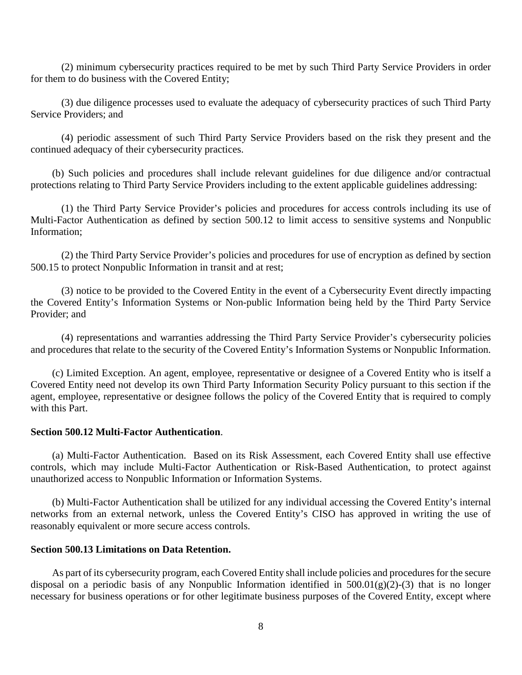(2) minimum cybersecurity practices required to be met by such Third Party Service Providers in order for them to do business with the Covered Entity;

(3) due diligence processes used to evaluate the adequacy of cybersecurity practices of such Third Party Service Providers; and

(4) periodic assessment of such Third Party Service Providers based on the risk they present and the continued adequacy of their cybersecurity practices.

(b) Such policies and procedures shall include relevant guidelines for due diligence and/or contractual protections relating to Third Party Service Providers including to the extent applicable guidelines addressing:

(1) the Third Party Service Provider's policies and procedures for access controls including its use of Multi-Factor Authentication as defined by section 500.12 to limit access to sensitive systems and Nonpublic Information;

(2) the Third Party Service Provider's policies and procedures for use of encryption as defined by section 500.15 to protect Nonpublic Information in transit and at rest;

(3) notice to be provided to the Covered Entity in the event of a Cybersecurity Event directly impacting the Covered Entity's Information Systems or Non-public Information being held by the Third Party Service Provider; and

(4) representations and warranties addressing the Third Party Service Provider's cybersecurity policies and procedures that relate to the security of the Covered Entity's Information Systems or Nonpublic Information.

(c) Limited Exception. An agent, employee, representative or designee of a Covered Entity who is itself a Covered Entity need not develop its own Third Party Information Security Policy pursuant to this section if the agent, employee, representative or designee follows the policy of the Covered Entity that is required to comply with this Part.

### **Section 500.12 Multi-Factor Authentication**.

(a) Multi-Factor Authentication. Based on its Risk Assessment, each Covered Entity shall use effective controls, which may include Multi-Factor Authentication or Risk-Based Authentication, to protect against unauthorized access to Nonpublic Information or Information Systems.

(b) Multi-Factor Authentication shall be utilized for any individual accessing the Covered Entity's internal networks from an external network, unless the Covered Entity's CISO has approved in writing the use of reasonably equivalent or more secure access controls.

### **Section 500.13 Limitations on Data Retention.**

As part of its cybersecurity program, each Covered Entity shall include policies and procedures for the secure disposal on a periodic basis of any Nonpublic Information identified in 500.01(g)(2)-(3) that is no longer necessary for business operations or for other legitimate business purposes of the Covered Entity, except where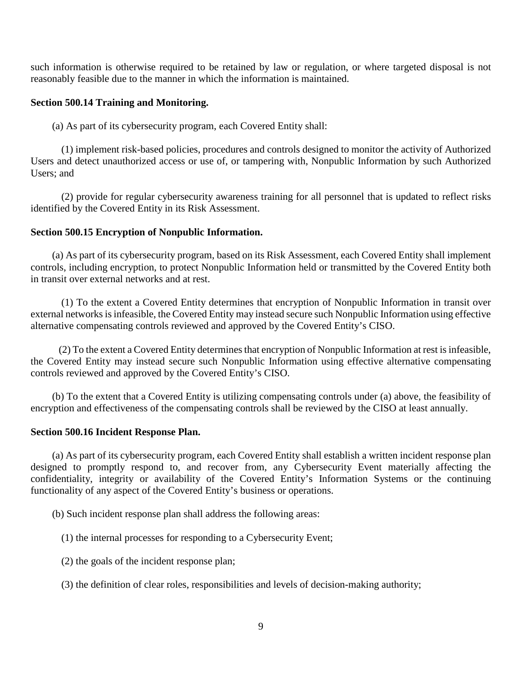such information is otherwise required to be retained by law or regulation, or where targeted disposal is not reasonably feasible due to the manner in which the information is maintained.

# **Section 500.14 Training and Monitoring.**

(a) As part of its cybersecurity program, each Covered Entity shall:

(1) implement risk-based policies, procedures and controls designed to monitor the activity of Authorized Users and detect unauthorized access or use of, or tampering with, Nonpublic Information by such Authorized Users; and

(2) provide for regular cybersecurity awareness training for all personnel that is updated to reflect risks identified by the Covered Entity in its Risk Assessment.

# **Section 500.15 Encryption of Nonpublic Information.**

(a) As part of its cybersecurity program, based on its Risk Assessment, each Covered Entity shall implement controls, including encryption, to protect Nonpublic Information held or transmitted by the Covered Entity both in transit over external networks and at rest.

(1) To the extent a Covered Entity determines that encryption of Nonpublic Information in transit over external networks is infeasible, the Covered Entity may instead secure such Nonpublic Information using effective alternative compensating controls reviewed and approved by the Covered Entity's CISO.

(2) To the extent a Covered Entity determines that encryption of Nonpublic Information at rest is infeasible, the Covered Entity may instead secure such Nonpublic Information using effective alternative compensating controls reviewed and approved by the Covered Entity's CISO.

(b) To the extent that a Covered Entity is utilizing compensating controls under (a) above, the feasibility of encryption and effectiveness of the compensating controls shall be reviewed by the CISO at least annually.

### **Section 500.16 Incident Response Plan.**

(a) As part of its cybersecurity program, each Covered Entity shall establish a written incident response plan designed to promptly respond to, and recover from, any Cybersecurity Event materially affecting the confidentiality, integrity or availability of the Covered Entity's Information Systems or the continuing functionality of any aspect of the Covered Entity's business or operations.

(b) Such incident response plan shall address the following areas:

(1) the internal processes for responding to a Cybersecurity Event;

- (2) the goals of the incident response plan;
- (3) the definition of clear roles, responsibilities and levels of decision-making authority;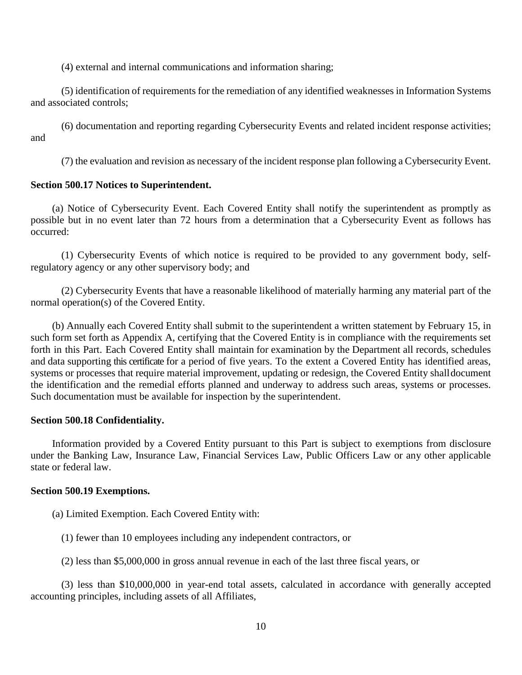(4) external and internal communications and information sharing;

(5) identification of requirements for the remediation of any identified weaknesses in Information Systems and associated controls;

(6) documentation and reporting regarding Cybersecurity Events and related incident response activities; and

(7) the evaluation and revision as necessary of the incident response plan following a Cybersecurity Event.

# **Section 500.17 Notices to Superintendent.**

(a) Notice of Cybersecurity Event. Each Covered Entity shall notify the superintendent as promptly as possible but in no event later than 72 hours from a determination that a Cybersecurity Event as follows has occurred:

(1) Cybersecurity Events of which notice is required to be provided to any government body, selfregulatory agency or any other supervisory body; and

(2) Cybersecurity Events that have a reasonable likelihood of materially harming any material part of the normal operation(s) of the Covered Entity.

(b) Annually each Covered Entity shall submit to the superintendent a written statement by February 15, in such form set forth as Appendix A, certifying that the Covered Entity is in compliance with the requirements set forth in this Part. Each Covered Entity shall maintain for examination by the Department all records, schedules and data supporting this certificate for a period of five years. To the extent a Covered Entity has identified areas, systems or processes that require material improvement, updating or redesign, the Covered Entity shalldocument the identification and the remedial efforts planned and underway to address such areas, systems or processes. Such documentation must be available for inspection by the superintendent.

# **Section 500.18 Confidentiality.**

Information provided by a Covered Entity pursuant to this Part is subject to exemptions from disclosure under the Banking Law, Insurance Law, Financial Services Law, Public Officers Law or any other applicable state or federal law.

# **Section 500.19 Exemptions.**

(a) Limited Exemption. Each Covered Entity with:

(1) fewer than 10 employees including any independent contractors, or

(2) less than \$5,000,000 in gross annual revenue in each of the last three fiscal years, or

(3) less than \$10,000,000 in year-end total assets, calculated in accordance with generally accepted accounting principles, including assets of all Affiliates,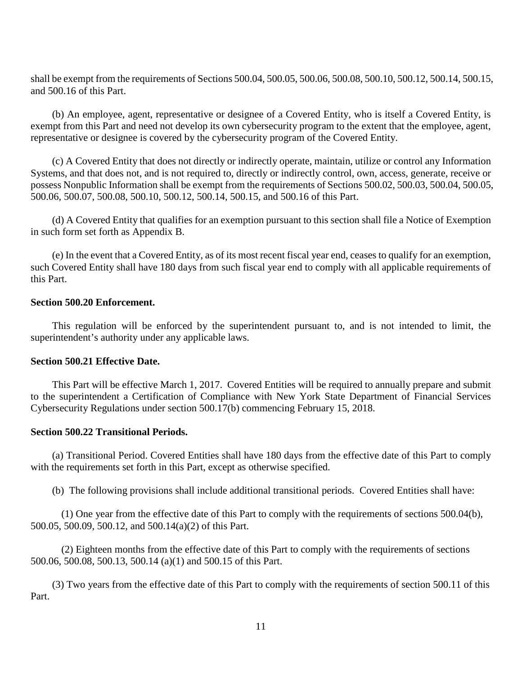shall be exempt from the requirements of Sections 500.04, 500.05, 500.06, 500.08, 500.10, 500.12, 500.14, 500.15, and 500.16 of this Part.

(b) An employee, agent, representative or designee of a Covered Entity, who is itself a Covered Entity, is exempt from this Part and need not develop its own cybersecurity program to the extent that the employee, agent, representative or designee is covered by the cybersecurity program of the Covered Entity.

(c) A Covered Entity that does not directly or indirectly operate, maintain, utilize or control any Information Systems, and that does not, and is not required to, directly or indirectly control, own, access, generate, receive or possess Nonpublic Information shall be exempt from the requirements of Sections 500.02, 500.03, 500.04, 500.05, 500.06, 500.07, 500.08, 500.10, 500.12, 500.14, 500.15, and 500.16 of this Part.

(d) A Covered Entity that qualifies for an exemption pursuant to this section shall file a Notice of Exemption in such form set forth as Appendix B.

(e) In the event that a Covered Entity, as of its most recent fiscal year end, ceases to qualify for an exemption, such Covered Entity shall have 180 days from such fiscal year end to comply with all applicable requirements of this Part.

# **Section 500.20 Enforcement.**

This regulation will be enforced by the superintendent pursuant to, and is not intended to limit, the superintendent's authority under any applicable laws.

# **Section 500.21 Effective Date.**

This Part will be effective March 1, 2017. Covered Entities will be required to annually prepare and submit to the superintendent a Certification of Compliance with New York State Department of Financial Services Cybersecurity Regulations under section 500.17(b) commencing February 15, 2018.

### **Section 500.22 Transitional Periods.**

(a) Transitional Period. Covered Entities shall have 180 days from the effective date of this Part to comply with the requirements set forth in this Part, except as otherwise specified.

(b) The following provisions shall include additional transitional periods. Covered Entities shall have:

(1) One year from the effective date of this Part to comply with the requirements of sections 500.04(b), 500.05, 500.09, 500.12, and 500.14(a)(2) of this Part.

(2) Eighteen months from the effective date of this Part to comply with the requirements of sections 500.06, 500.08, 500.13, 500.14 (a)(1) and 500.15 of this Part.

(3) Two years from the effective date of this Part to comply with the requirements of section 500.11 of this Part.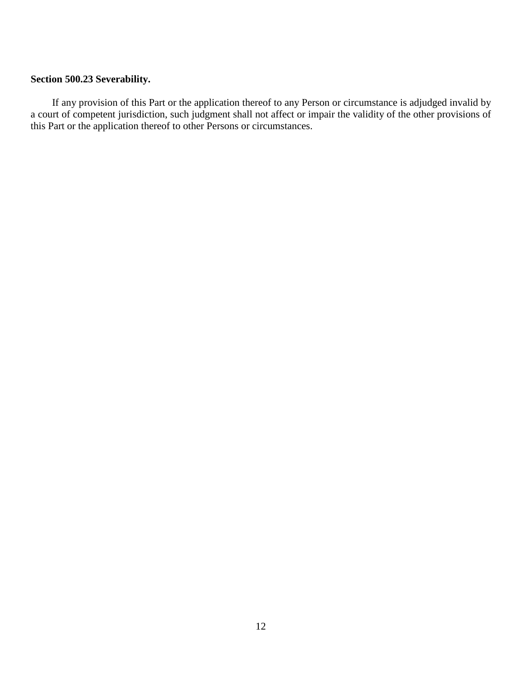# **Section 500.23 Severability.**

If any provision of this Part or the application thereof to any Person or circumstance is adjudged invalid by a court of competent jurisdiction, such judgment shall not affect or impair the validity of the other provisions of this Part or the application thereof to other Persons or circumstances.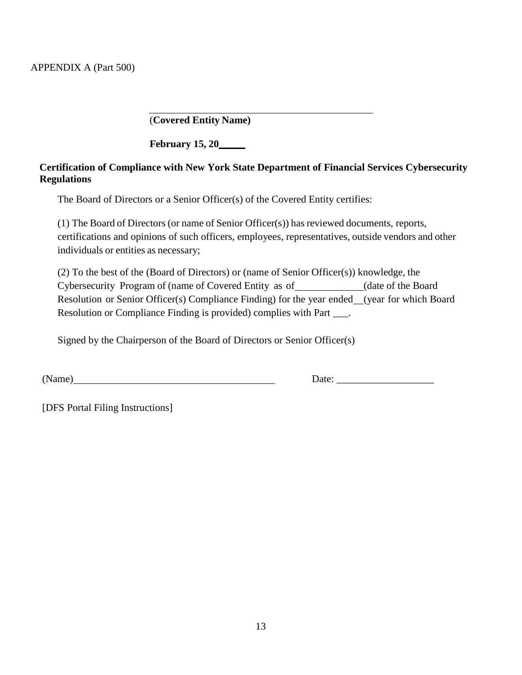(**Covered Entity Name)**

**February 15, 20**

# **Certification of Compliance with New York State Department of Financial Services Cybersecurity Regulations**

The Board of Directors or a Senior Officer(s) of the Covered Entity certifies:

(1) The Board of Directors (or name of Senior Officer(s)) has reviewed documents, reports, certifications and opinions of such officers, employees, representatives, outside vendors and other individuals or entities as necessary;

(2) To the best of the (Board of Directors) or (name of Senior Officer(s)) knowledge, the Cybersecurity Program of (name of Covered Entity as of (date of the Board Resolution or Senior Officer(s) Compliance Finding) for the year ended (year for which Board Resolution or Compliance Finding is provided) complies with Part \_\_\_.

Signed by the Chairperson of the Board of Directors or Senior Officer(s)

(Name) Date: \_\_\_\_\_\_\_\_\_\_\_\_\_\_\_\_\_\_\_

[DFS Portal Filing Instructions]